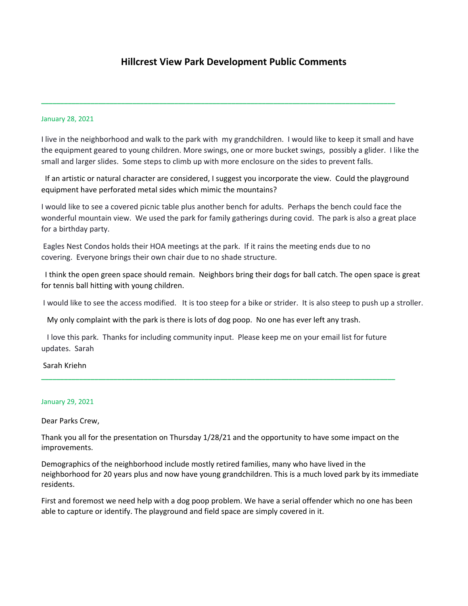# **Hillcrest View Park Development Public Comments**

#### January 28, 2021

I live in the neighborhood and walk to the park with my grandchildren. I would like to keep it small and have the equipment geared to young children. More swings, one or more bucket swings, possibly a glider. I like the small and larger slides. Some steps to climb up with more enclosure on the sides to prevent falls.

**\_\_\_\_\_\_\_\_\_\_\_\_\_\_\_\_\_\_\_\_\_\_\_\_\_\_\_\_\_\_\_\_\_\_\_\_\_\_\_\_\_\_\_\_\_\_\_\_\_\_\_\_\_\_\_\_\_\_\_\_\_\_\_\_\_\_\_\_\_\_\_\_\_\_\_\_\_\_\_\_\_\_\_\_\_\_\_\_\_\_\_\_\_** 

If an artistic or natural character are considered, I suggest you incorporate the view. Could the playground equipment have perforated metal sides which mimic the mountains?

I would like to see a covered picnic table plus another bench for adults. Perhaps the bench could face the wonderful mountain view. We used the park for family gatherings during covid. The park is also a great place for a birthday party.

Eagles Nest Condos holds their HOA meetings at the park. If it rains the meeting ends due to no covering. Everyone brings their own chair due to no shade structure.

I think the open green space should remain. Neighbors bring their dogs for ball catch. The open space is great for tennis ball hitting with young children.

I would like to see the access modified. It is too steep for a bike or strider. It is also steep to push up a stroller.

My only complaint with the park is there is lots of dog poop. No one has ever left any trash.

I love this park. Thanks for including community input. Please keep me on your email list for future updates. Sarah

**\_\_\_\_\_\_\_\_\_\_\_\_\_\_\_\_\_\_\_\_\_\_\_\_\_\_\_\_\_\_\_\_\_\_\_\_\_\_\_\_\_\_\_\_\_\_\_\_\_\_\_\_\_\_\_\_\_\_\_\_\_\_\_\_\_\_\_\_\_\_\_\_\_\_\_\_\_\_\_\_\_\_\_\_\_\_\_\_\_\_\_\_\_** 

Sarah Kriehn

#### January 29, 2021

Dear Parks Crew,

Thank you all for the presentation on Thursday 1/28/21 and the opportunity to have some impact on the improvements.

Demographics of the neighborhood include mostly retired families, many who have lived in the neighborhood for 20 years plus and now have young grandchildren. This is a much loved park by its immediate residents.

First and foremost we need help with a dog poop problem. We have a serial offender which no one has been able to capture or identify. The playground and field space are simply covered in it.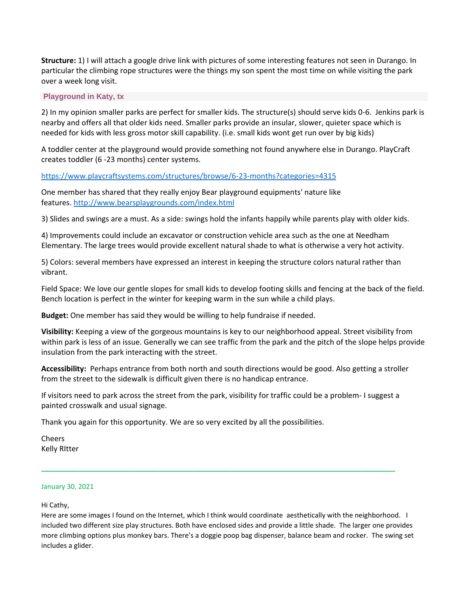**Structure:** 1) I will attach a google drive link with pictures of some interesting features not seen in Durango. In particular the climbing rope structures were the things my son spent the most time on while visiting the park over a week long visit.

## **[Playground](https://drive.google.com/drive/folders/1NJCC8Z3px1j4U4Mq_Rvv-iXTgWc4NdRZ) in Katy, tx**

2) In my opinion smaller parks are perfect for smaller kids. The structure(s) should serve kids 0-6. Jenkins park is nearby and offers all that older kids need. Smaller parks provide an insular, slower, quieter space which is needed for kids with less gross motor skill capability. (i.e. small kids wont get run over by big kids)

A toddler center at the playground would provide something not found anywhere else in Durango. PlayCraft creates toddler (6 -23 months) center systems.

### <https://www.playcraftsystems.com/structures/browse/6-23-months?categories=4315>

One member has shared that they really enjoy Bear playground equipments' nature like features. <http://www.bearsplaygrounds.com/index.html>

3) Slides and swings are a must. As a side: swings hold the infants happily while parents play with older kids.

4) Improvements could include an excavator or construction vehicle area such as the one at Needham Elementary. The large trees would provide excellent natural shade to what is otherwise a very hot activity.

5) Colors: several members have expressed an interest in keeping the structure colors natural rather than vibrant.

Field Space: We love our gentle slopes for small kids to develop footing skills and fencing at the back of the field. Bench location is perfect in the winter for keeping warm in the sun while a child plays.

**Budget:** One member has said they would be willing to help fundraise if needed.

**Visibility:** Keeping a view of the gorgeous mountains is key to our neighborhood appeal. Street visibility from within park is less of an issue. Generally we can see traffic from the park and the pitch of the slope helps provide insulation from the park interacting with the street.

**Accessibility:** Perhaps entrance from both north and south directions would be good. Also getting a stroller from the street to the sidewalk is difficult given there is no handicap entrance.

If visitors need to park across the street from the park, visibility for traffic could be a problem- I suggest a painted crosswalk and usual signage.

**\_\_\_\_\_\_\_\_\_\_\_\_\_\_\_\_\_\_\_\_\_\_\_\_\_\_\_\_\_\_\_\_\_\_\_\_\_\_\_\_\_\_\_\_\_\_\_\_\_\_\_\_\_\_\_\_\_\_\_\_\_\_\_\_\_\_\_\_\_\_\_\_\_\_\_\_\_\_\_\_\_\_\_\_\_\_\_\_\_\_\_\_\_** 

Thank you again for this opportunity. We are so very excited by all the possibilities.

Cheers Kelly RItter

### January 30, 2021

Hi Cathy,

Here are some images I found on the Internet, which I think would coordinate aesthetically with the neighborhood. I included two different size play structures. Both have enclosed sides and provide a little shade. The larger one provides more climbing options plus monkey bars. There's a doggie poop bag dispenser, balance beam and rocker. The swing set includes a glider.